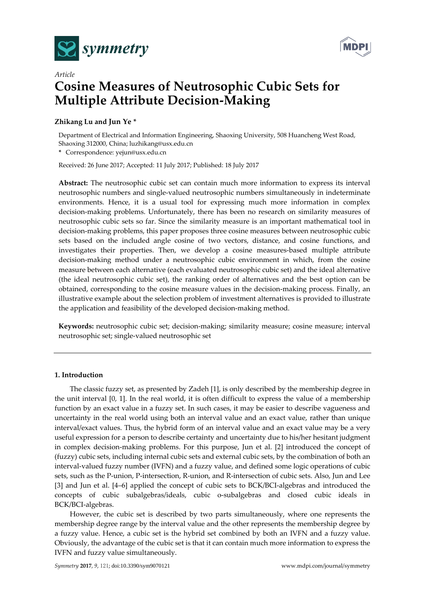



# *Article* **Cosine Measures of Neutrosophic Cubic Sets for Multiple Attribute Decision-Making**

# **Zhikang Lu and Jun Ye \***

Department of Electrical and Information Engineering, Shaoxing University, 508 Huancheng West Road, Shaoxing 312000, China; luzhikang@usx.edu.cn

**\*** Correspondence: yejun@usx.edu.cn

Received: 26 June 2017; Accepted: 11 July 2017; Published: 18 July 2017

**Abstract:** The neutrosophic cubic set can contain much more information to express its interval neutrosophic numbers and single-valued neutrosophic numbers simultaneously in indeterminate environments. Hence, it is a usual tool for expressing much more information in complex decision-making problems. Unfortunately, there has been no research on similarity measures of neutrosophic cubic sets so far. Since the similarity measure is an important mathematical tool in decision-making problems, this paper proposes three cosine measures between neutrosophic cubic sets based on the included angle cosine of two vectors, distance, and cosine functions, and investigates their properties. Then, we develop a cosine measures-based multiple attribute decision-making method under a neutrosophic cubic environment in which, from the cosine measure between each alternative (each evaluated neutrosophic cubic set) and the ideal alternative (the ideal neutrosophic cubic set), the ranking order of alternatives and the best option can be obtained, corresponding to the cosine measure values in the decision-making process. Finally, an illustrative example about the selection problem of investment alternatives is provided to illustrate the application and feasibility of the developed decision-making method.

**Keywords:** neutrosophic cubic set; decision-making; similarity measure; cosine measure; interval neutrosophic set; single-valued neutrosophic set

## **1. Introduction**

The classic fuzzy set, as presented by Zadeh [1], is only described by the membership degree in the unit interval [0, 1]. In the real world, it is often difficult to express the value of a membership function by an exact value in a fuzzy set. In such cases, it may be easier to describe vagueness and uncertainty in the real world using both an interval value and an exact value, rather than unique interval/exact values. Thus, the hybrid form of an interval value and an exact value may be a very useful expression for a person to describe certainty and uncertainty due to his/her hesitant judgment in complex decision-making problems. For this purpose, Jun et al. [2] introduced the concept of (fuzzy) cubic sets, including internal cubic sets and external cubic sets, by the combination of both an interval-valued fuzzy number (IVFN) and a fuzzy value, and defined some logic operations of cubic sets, such as the P-union, P-intersection, R-union, and R-intersection of cubic sets. Also, Jun and Lee [3] and Jun et al. [4–6] applied the concept of cubic sets to BCK/BCI-algebras and introduced the concepts of cubic subalgebras/ideals, cubic o-subalgebras and closed cubic ideals in BCK/BCI-algebras.

However, the cubic set is described by two parts simultaneously, where one represents the membership degree range by the interval value and the other represents the membership degree by a fuzzy value. Hence, a cubic set is the hybrid set combined by both an IVFN and a fuzzy value. Obviously, the advantage of the cubic set is that it can contain much more information to express the IVFN and fuzzy value simultaneously.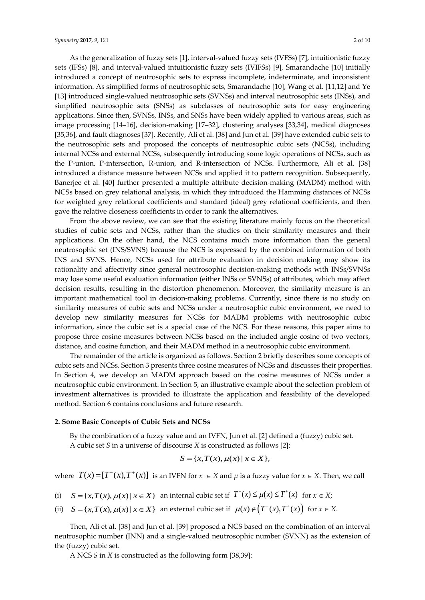As the generalization of fuzzy sets [1], interval-valued fuzzy sets (IVFSs) [7], intuitionistic fuzzy sets (IFSs) [8], and interval-valued intuitionistic fuzzy sets (IVIFSs) [9], Smarandache [10] initially introduced a concept of neutrosophic sets to express incomplete, indeterminate, and inconsistent information. As simplified forms of neutrosophic sets, Smarandache [10], Wang et al. [11,12] and Ye [13] introduced single-valued neutrosophic sets (SVNSs) and interval neutrosophic sets (INSs), and simplified neutrosophic sets (SNSs) as subclasses of neutrosophic sets for easy engineering applications. Since then, SVNSs, INSs, and SNSs have been widely applied to various areas, such as image processing [14–16], decision-making [17–32], clustering analyses [33,34], medical diagnoses [35,36], and fault diagnoses [37]. Recently, Ali et al. [38] and Jun et al. [39] have extended cubic sets to the neutrosophic sets and proposed the concepts of neutrosophic cubic sets (NCSs), including internal NCSs and external NCSs, subsequently introducing some logic operations of NCSs, such as the P-union, P-intersection, R-union, and R-intersection of NCSs. Furthermore, Ali et al. [38] introduced a distance measure between NCSs and applied it to pattern recognition. Subsequently, Banerjee et al. [40] further presented a multiple attribute decision-making (MADM) method with NCSs based on grey relational analysis, in which they introduced the Hamming distances of NCSs for weighted grey relational coefficients and standard (ideal) grey relational coefficients, and then gave the relative closeness coefficients in order to rank the alternatives.

From the above review, we can see that the existing literature mainly focus on the theoretical studies of cubic sets and NCSs, rather than the studies on their similarity measures and their applications. On the other hand, the NCS contains much more information than the general neutrosophic set (INS/SVNS) because the NCS is expressed by the combined information of both INS and SVNS. Hence, NCSs used for attribute evaluation in decision making may show its rationality and affectivity since general neutrosophic decision-making methods with INSs/SVNSs may lose some useful evaluation information (either INSs or SVNSs) of attributes, which may affect decision results, resulting in the distortion phenomenon. Moreover, the similarity measure is an important mathematical tool in decision-making problems. Currently, since there is no study on similarity measures of cubic sets and NCSs under a neutrosophic cubic environment, we need to develop new similarity measures for NCSs for MADM problems with neutrosophic cubic information, since the cubic set is a special case of the NCS. For these reasons, this paper aims to propose three cosine measures between NCSs based on the included angle cosine of two vectors, distance, and cosine function, and their MADM method in a neutrosophic cubic environment.

The remainder of the article is organized as follows. Section 2 briefly describes some concepts of cubic sets and NCSs. Section 3 presents three cosine measures of NCSs and discusses their properties. In Section 4, we develop an MADM approach based on the cosine measures of NCSs under a neutrosophic cubic environment. In Section 5, an illustrative example about the selection problem of investment alternatives is provided to illustrate the application and feasibility of the developed method. Section 6 contains conclusions and future research.

#### **2. Some Basic Concepts of Cubic Sets and NCSs**

By the combination of a fuzzy value and an IVFN, Jun et al. [2] defined a (fuzzy) cubic set. A cubic set *S* in a universe of discourse *X* is constructed as follows [2]:

$$
S = \{x, T(x), \mu(x) \mid x \in X\},\
$$

where  $T(x) = [T^-(x), T^+(x)]$  is an IVFN for  $x \in X$  and  $\mu$  is a fuzzy value for  $x \in X$ . Then, we call

- (i)  $S = \{x, T(x), \mu(x) | x \in X\}$  an internal cubic set if  $T^-(x) \le \mu(x) \le T^+(x)$  for  $x \in X$ ;
- (ii)  $S = \{x, T(x), \mu(x) | x \in X\}$  an external cubic set if  $\mu(x) \notin (T^-(x), T^+(x))$  for  $x \in X$ .

Then, Ali et al. [38] and Jun et al. [39] proposed a NCS based on the combination of an interval neutrosophic number (INN) and a single-valued neutrosophic number (SVNN) as the extension of the (fuzzy) cubic set.

A NCS *S* in *X* is constructed as the following form [38,39]: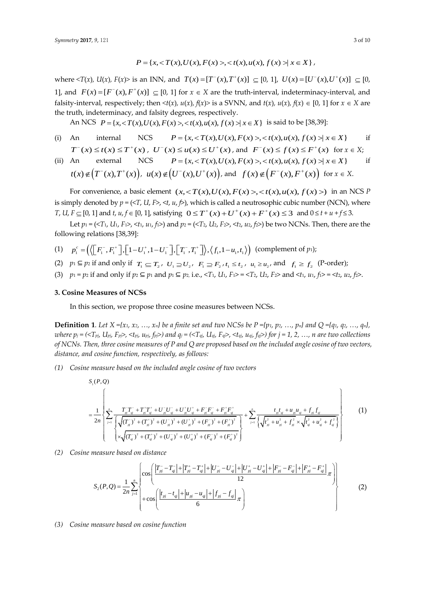$$
P = \{x, < T(x), U(x), F(x) > < t(x), u(x), f(x) > | x \in X\},
$$

where  $\langle T(x), U(x), F(x) \rangle$  is an INN, and  $T(x) = [T^-(x), T^+(x)] \subseteq [0, 1], U(x) = [U^-(x), U^+(x)] \subseteq [0, 1]$ 1], and  $F(x) = [F(x), F^{+}(x)] \subseteq [0, 1]$  for  $x \in X$  are the truth-interval, indeterminacy-interval, and falsity-interval, respectively; then  $\langle x \rangle$ ,  $u(x)$ ,  $f(x) >$  is a SVNN, and  $t(x)$ ,  $u(x)$ ,  $f(x) \in [0, 1]$  for  $x \in X$  are the truth, indeterminacy, and falsity degrees, respectively. y-interval, respectively; then  $\langle f(x), u(x), f(x) \rangle$  is a SVNN, and  $t(x), u(x), f(x) \in [0, 1]$ <br>ruth, indeterminacy, and falsity degrees, respectively.<br>An NCS  $P = \{x, \langle T(x), U(x), F(x) \rangle, \langle f(x), u(x), f(x) \rangle | x \in X\}$  is said to be [38,39]:

- (i) An internal NCS  $P = \{x, \langle T(x), U(x), F(x) \rangle, \langle x(x), u(x), f(x) \rangle, \langle x \in X\}$ if  $T^{-}(x) \le t(x) \le T^{+}(x)$ ,  $U^{-}(x) \le u(x) \le U^{+}(x)$ , and  $F^{-}(x) \le f(x) \le F^{+}(x)$  for  $x \in X$ ;
- (ii) An external NCS  $P = \{x, \langle T(x), U(x), F(x) \rangle, \langle x(x), u(x), f(x) \rangle, \forall x \in X\}$ if  $t(x) \notin (T^-(x), T^+(x)), u(x) \notin (U^-(x), U^+(x)), \text{ and } f(x) \notin (F^-(x), F^+(x)) \text{ for } x \in X.$

 $f(x) \notin (T^-(x), T^+(x)), u(x) \notin (U^-(x), U^+(x)),$  and  $f(x) \notin (F^-(x), F^+(x))$  for  $x \in X$ .<br>For convenience, a basic element  $(x, , )$  in an NCS *P* is simply denoted by  $p = (\langle T, U, F \rangle, \langle t, u, f \rangle)$ , which is called a neutrosophic cubic number (NCN), where *Is* simply denoted by  $p = \langle \langle 1, u, t \rangle, \langle u, t \rangle$ , which is called a neutrosophic cubic number (NCN),  $\langle v, u \rangle$ ,  $T$ ,  $U$ ,  $F \subseteq [0, 1]$  and  $t$ ,  $u$ ,  $f \in [0, 1]$ , satisfying  $0 \leq T^+(x) + U^+(x) + F^+(x) \leq 3$  and  $0 \leq t + u + f \leq 3$ .

Let  $p_1 = (\langle T_1, U_1, F_1 \rangle, \langle t_1, u_1, f_1 \rangle)$  and  $p_2 = (\langle T_2, U_2, F_2 \rangle, \langle t_2, u_2, f_2 \rangle)$  be two NCNs. Then, there are the following relations [38,39]: ving relations [38,39]:<br>  $p_1^c = (\langle [F_1^-, F_1^+], [1-U_1^+, 1-U_1^-], [T_1^-, T_1^+]] \rangle, \langle f_1, 1-u_1, t_1 \rangle)$ 

- following relations [38,39]:<br>
(1)  $p_1^c = (\langle [F_1^-, F_1^+], [1-U_1^+, 1-U_1^-], [T_1^-, T_1^+]] \rangle, \langle f_1, 1-u_1, t_1 \rangle)$ *c* (complement of *p*1);
- (2)  $p_1 \subseteq p_2$  if and only if  $T_1 \subseteq T_2$ ,  $U_1 \supseteq U_2$ ,  $F_1 \supseteq F_2$ ,  $t_1 \leq t_2$ ,  $u_1 \geq u_2$ , and  $f_1 \geq f_2$  (P-order);
- (3)  $p_1 = p_2$  if and only if  $p_2 \subseteq p_1$  and  $p_1 \subseteq p_2$ , i.e., <T<sub>1</sub>, U<sub>1</sub>, F<sub>1</sub>> = <T<sub>2</sub>, U<sub>2</sub>, F<sub>2</sub>> and <t<sub>1</sub>,  $u_1$ ,  $f_1$ > = <t<sub>2</sub>,  $u_2$ ,  $f_2$ >.

## **3. Cosine Measures of NCSs**

In this section, we propose three cosine measures between NCSs.

**Definition 1.** Let  $X = \{x_1, x_2, ..., x_n\}$  be a finite set and two NCSs be  $P = \{p_1, p_2, ..., p_n\}$  and  $Q = \{q_1, q_2, ..., q_n\}$ where  $p_j = (\langle T_{pj}, U_{pj}, F_{pj}\rangle, \langle t_{pj}, u_{pj}, f_{pj}\rangle)$  and  $q_j = (\langle T_{qj}, U_{qj}, F_{qj}\rangle, \langle t_{qj}, u_{qj}, f_{qj}\rangle)$  for  $j = 1, 2, ..., n$  are two collections *of NCNs. Then, three cosine measures of P and Q are proposed based on the included angle cosine of two vectors, distance, and cosine function, respectively, as follows:*

*(1) Cosine measure based on the included angle cosine of two vectors*

1 2 2 2 2 2 2 <sup>2</sup> 1 2 2 2 2 2 2 ( , ) *S P Q* 1 <sup>2</sup> ( ) ( ) ( ) ( ) ( ) ( ) ( ) ( ) ( ) ( ) ( ) ( ) *n pj qj pj qj pj qj pj qj pj qj pj qj pj qj pj qj pj qj j pj pj pj pj pj pj pj qj qj qj qj qj qj T T T T U U U U F F F F t t u u f f <sup>n</sup> T T U U F F <sup>t</sup> T T U U F F* 2 2 2 2 2 1 *n pj pj qj qj qj u f t u f* (1)

*(2) Cosine measure based on distance*

$$
\left\{\n\begin{array}{c}\n\left[\n\times\sqrt{(T_{ij})^2 + (T_{ij})^2 + (U_{ij})^2 + (U_{ij})^2 + (F_{ij})^2 + (F_{ij})^2}\n\right]\n\end{array}\n\right\}
$$
\nmeasure based on distance\n
$$
S_2(P,Q) = \frac{1}{2n} \sum_{j=1}^n \begin{cases}\n\cos\left(\frac{|T_{pj} - T_{ij}| + |T_{pj} - T_{ij}| + |U_{pj} - U_{ij}| + |U_{pj} - U_{ij}| + |F_{pj} - F_{ij}| + |F_{pj} - F_{ij}|}{12}\pi\right) \\
+\cos\left(\frac{|t_{pj} - t_{ij}| + |u_{pj} - u_{ij}| + |f_{pj} - f_{ij}|}{6}\pi\right)\n\end{cases}
$$
\n(2)

*(3) Cosine measure based on cosine function*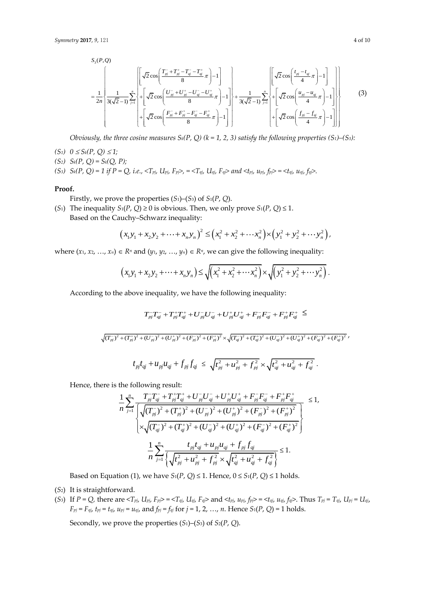7, 9, 121  
\n
$$
S_{3}(P,Q)
$$
\n
$$
= \frac{1}{2n} \left\{ \frac{1}{3(\sqrt{2}-1)} \sum_{j=1}^{n} \left\{ + \left[ \sqrt{2} \cos \left( \frac{U_{pj}^{-} + U_{pj}^{+} - U_{qi}^{-} - U_{ij}^{+}}{8} \pi \right) - 1 \right] + \left[ \sqrt{2} \cos \left( \frac{U_{pj}^{-} + U_{pj}^{+} - U_{qi}^{-} - U_{ij}^{+}}{8} \pi \right) - 1 \right] + \frac{1}{3(\sqrt{2}-1)} \sum_{j=1}^{n} \left\{ + \left[ \sqrt{2} \cos \left( \frac{u_{pj} - u_{ij}}{4} \pi \right) - 1 \right] \right\} + \left[ \sqrt{2} \cos \left( \frac{u_{pj} - u_{ij}}{4} \pi \right) - 1 \right] \right\}
$$
\n(3)

*Obviously, the three cosine measures*  $S_k(P, Q)$  ( $k = 1, 2, 3$ ) satisfy the following properties (S<sub>1</sub>)–(S<sub>3</sub>):

- *(S<sub>1</sub>*)  $0 \le S_k(P, Q) \le 1;$
- *(S2) Sk(P, Q) = Sk(Q, P);*

(S<sub>3</sub>)  $S_k(P, Q) = 1$  if  $P = Q$ , i.e.,  $\langle T_{pi}, U_{pj}, F_{pj} \rangle = \langle T_{qj}, U_{qj}, F_{qj} \rangle$  and  $\langle t_{pj}, u_{pj}, f_{pj} \rangle = \langle t_{qj}, u_{qj}, f_{qj} \rangle$ .

#### **Proof.**

Firstly, we prove the properties (*S*1)–(*S*3) of *S*1(*P*, *Q*).

(*S*<sub>1</sub>) The inequality *S*<sub>1</sub>(*P*, *Q*) ≥ 0 is obvious. Then, we only prove *S*<sub>1</sub>(*P*, *Q*) ≤ 1.<br> *Sased on the Cauchy–Schwarz inequality:<br>*  $(x_1y_1 + x_2y_2 + \dots + x_ny_n)^2 \le (x_1^2 + x_2^2 + \dots + x_n^2) \times (y_1^2 + y_2^2 + \dots + y_n^2)$ *,* Based on the Cauchy–Schwarz inequality:

$$
\begin{aligned} \n\text{autely-Schwarz inequality:} \\
\left(x_1 y_1 + x_2 y_2 + \dots + x_n y_n\right)^2 &\leq \left(x_1^2 + x_2^2 + \dots + x_n^2\right) \times \left(y_1^2 + y_2^2 + \dots + y_n^2\right),\n\end{aligned}
$$

where 
$$
(x_1, x_2, ..., x_n) \in R^n
$$
 and  $(y_1, y_2, ..., y_n) \in R^n$ , we can give the following inequality:  
\n
$$
(x_1y_1 + x_2y_2 + ... + x_ny_n) \le \sqrt{(x_1^2 + x_2^2 + ... + x_n^2)} \times \sqrt{(y_1^2 + y_2^2 + ... + y_n^2)}.
$$

According to the above inequality, we have the following inequality:  
\n
$$
T_{pj}^-T_{qi}^- + T_{pj}^+T_{qi}^+ + U_{pj}^-U_{qi}^- + U_{pj}^+U_{qj}^+ + F_{pj}^-F_{qi}^- + F_{pj}^+F_{qj}^+ \le
$$
\n
$$
\sqrt{(T_{pj}^-)^2 + (T_{pj}^+)^2 + (U_{pj}^-)^2 + (F_{pj}^+)^2 + (F_{pj}^-)^2 + (F_{pj}^+)^2} \times \sqrt{(T_{qj}^-)^2 + (T_{qj}^+)^2 + (U_{qj}^-)^2 + (U_{qj}^+)^2 + (F_{qj}^-)^2 + (F_{qj}^+)^2},
$$
\n
$$
t_{pj}t_{qj} + u_{pj}u_{qj} + f_{pj}f_{qj} \le \sqrt{t_{pj}^2 + u_{pj}^2 + f_{pj}^2} \times \sqrt{t_{qj}^2 + u_{qj}^2 + f_{qj}^2}.
$$

Hence, there is the following result:

the following result:  
\n
$$
\frac{1}{n} \sum_{j=1}^{n} \frac{T_{pj} T_{qi}^- + T_{pj}^+ T_{qi}^+ + U_{pj}^- U_{qi}^- + U_{pj}^+ U_{qj}^+ + F_{pj}^- F_{qi}^- + F_{pj}^+ F_{qi}^+}{\sqrt{(T_{pj}^-)^2 + (T_{pj}^+)^2 + (U_{pj}^-)^2 + (U_{pj}^+)^2 + (F_{pj}^-)^2 + (F_{pj}^+)^2}}
$$
\n
$$
\frac{1}{n} \sum_{j=1}^{n} \frac{t_{pj} t_{qi} + u_{pj} u_{qi} + f_{pj} f_{qj}}{\sqrt{(T_{pj}^2 + U_{pj}^+ + U_{pj}^- + (U_{pj}^+)^2 + (U_{qi}^+)^2 + (F_{qi}^-)^2 + (F_{qi}^+)^2}}
$$
\n
$$
\frac{1}{n} \sum_{j=1}^{n} \frac{t_{pj} t_{qi} + u_{pj} u_{qi} + f_{pj} f_{qj}}{\sqrt{(T_{pj}^2 + U_{pj}^2 + (U_{pj}^+ + (U_{pj}^+ + U_{qi}^+ + (U_{qi}^+ + (U_{qi}^+ + (U_{qi}^+ + (U_{qi}^+ + (U_{qi}^+ + (U_{qi}^+ + (U_{qi}^+ + (U_{qi}^+ + (U_{qi}^+ + (U_{qi}^+ + (U_{qi}^+ + (U_{qi}^+ + (U_{qi}^+ + (U_{qi}^+ + (U_{qi}^+ + (U_{qi}^+ + (U_{qi}^+ + (U_{qi}^+ + (U_{qi}^+ + (U_{qi}^+ + (U_{qi}^+ + (U_{qi}^+ + (U_{qi}^+ + (U_{qi}^+ + (U_{qi}^+ + (U_{qi}^+ + (U_{qi}^+ + (U_{qi}^+ + (U_{qi}^+ + (U_{qi}^+ + (U_{qi}^+ + (U_{qi}^+ + (U_{qi}^+ + (U_{qi}^+ + (U_{qi}^+ + (U_{qi}^+ + (U_{qi}^+ + (U_{qi}^+ + (U_{qi}^+ + (U_{qi}^+ + (U_{qi}^+ + (U_{qi}^+ + (U_{qi}^+ + (U_{qi}^+ + (U_{qi}^+ + (U_{qi}^+ + (U_{qi}^+ + (U_{qi}^+ + (U_{qi}^+
$$

Based on Equation (1), we have  $S_1(P, Q) \leq 1$ . Hence,  $0 \leq S_1(P, Q) \leq 1$  holds.

- (*S*2) It is straightforward.
- (S<sub>3</sub>) If  $P = Q$ , there are  $\langle T_{p_j}, U_{p_j}, F_{p_j} \rangle = \langle T_{q_j}, U_{q_j}, F_{q_j} \rangle$  and  $\langle t_{p_j}, u_{p_j}, f_{p_j} \rangle = \langle t_{q_j}, u_{q_j}, f_{q_j} \rangle$ . Thus  $T_{p_j} = T_{q_j}, U_{p_j} = U_{q_j}$  $F_{pj} = F_{qj}$ ,  $t_{pj} = t_{qj}$ ,  $u_{pj} = u_{qj}$ , and  $f_{pj} = f_{qj}$  for  $j = 1, 2, ..., n$ . Hence  $S_1(P, Q) = 1$  holds.

Secondly, we prove the properties (*S*1)–(*S*3) of *S*2(*P*, *Q*).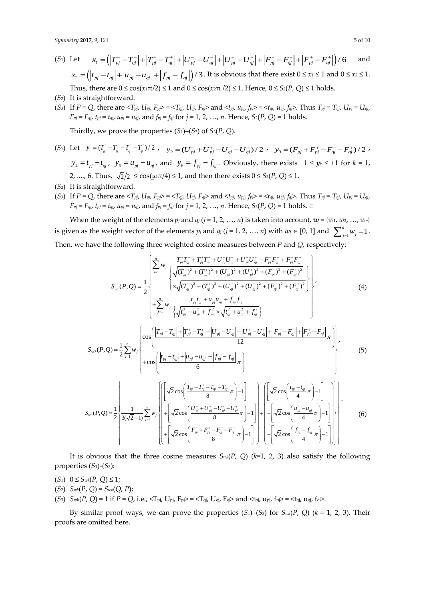- (*S*1) Let  $x_1 = (T_{pj}^- - T_{qi}^-| + |T_{pj}^+ - T_{qi}^+| + |U_{pj}^- - U_{qi}^-| + |U_{pj}^+ - U_{qi}^+| + |F_{pj}^- - F_{qi}^-| + |F_{pj}^+ - F_{qi}^+|) / 6$ and  $x_2 = (|t_{p_i} - t_{q_i}| + |u_{p_i} - u_{q_i}| + |f_{p_i} - f_{q_i}|)/3$ . It is obvious that there exist  $0 \le x_1 \le 1$  and  $0 \le x_2 \le 1$ . Thus, there are  $0 \le \cos(x_1 \pi/2) \le 1$  and  $0 \le \cos(x_2 \pi/2) \le 1$ . Hence,  $0 \le S_2(P, Q) \le 1$  holds.
- (*S*2) It is straightforward.
- (S<sub>3</sub>) If  $P = Q$ , there are  $\langle T_{p_j}, U_{p_j}, F_{p_j} \rangle = \langle T_{q_j}, U_{q_j}, F_{q_j} \rangle$  and  $\langle t_{p_j}, u_{p_j}, f_{p_j} \rangle = \langle t_{q_j}, u_{q_j}, f_{q_j} \rangle$ . Thus  $T_{p_j} = T_{q_j}, U_{p_j} = U_{q_j}$ ,  $F_{pj} = F_{qj}$ ,  $t_{pj} = t_{qj}$ ,  $u_{pj} = u_{qj}$ , and  $f_{pj} = f_{qj}$  for  $j = 1, 2, ..., n$ . Hence,  $S_2(P, Q) = 1$  holds.

Thirdly, we prove the properties  $(S_1)$ – $(S_3)$  of  $S_3(P, Q)$ .

- (S<sub>1</sub>) Let  $y_1 = (T_{pi}^+ + T_{pi}^+ T_{\bar{q}}^- T_{\bar{q}}^+) / 2$ ,  $y_2 = (U_{pj}^- + U_{pj}^+ U_{qj}^- U_{qj}^+) / 2$ ,  $y_3 = (F_{pj}^- + F_{pj}^+ F_{qj}^- F_{qj}^+) / 2$ ,  $y_4 = t_{pi} - t_{qi}$ ,  $y_5 = u_{pi} - u_{qi}$ , and  $y_6 = f_{pi} - f_{qi}$ . Obviously, there exists  $-1 \le y_k \le +1$  for  $k = 1$ , 2, ...., 6. Thus,  $\sqrt{2}/2 \le \cos(y_k \pi/4) \le 1$ , and then there exists  $0 \le S_3(P, Q) \le 1$ .
- (*S*2) It is straightforward.
- (S<sub>3</sub>) If  $P = Q$ , there are  $\langle T_{p_j}, U_{p_j}, F_{p_j} \rangle = \langle T_{q_j}, U_{q_j}, F_{q_j} \rangle$  and  $\langle t_{p_j}, u_{p_j}, f_{p_j} \rangle = \langle t_{q_j}, u_{q_j}, f_{q_j} \rangle$ . Thus  $T_{p_j} = T_{q_j}, U_{p_j} = U_{q_j}$ ,  $F_{pj} = F_{qj}$ ,  $t_{pj} = t_{qj}$ ,  $u_{pj} = u_{qj}$ , and  $f_{pj} = f_{qj}$  for  $j = 1, 2, ..., n$ . Hence,  $S_3(P, Q) = 1$  holds.  $\Box$

When the weight of the elements  $p_j$  and  $q_j$  ( $j = 1, 2, ..., n$ ) is taken into account,  $w = \{w_1, w_2, ..., w_n\}$ is given as the weight vector of the elements  $p_j$  and  $q_j$  ( $j = 1, 2, ..., n$ ) with  $w_j \in [0, 1]$  and  $\sum_{j=1}^{n} w_j = 1$  $\sum_{j=1}^{n} w_j = 1$ . Then, we have the following three weighted cosine measures between *P* and *Q,* respectively: hree weighted cosine measures between *P* and *Q*, respectively<br> $\left[\sum_{p'}^{n} w_i \frac{T_{p'} T_{q'} + T_{p'}^{\dagger} T_{q'}^{\dagger} + U_{p'}^{\dagger} U_{q'}^{\dagger} + F_{p'}^{\dagger} F_{q'}^{\dagger} + F_{p'}^{\dagger} F_{q'}^{\dagger}\right]$ 

the following three weighted cosine measures between *P* and *Q*, respectively:  
\n
$$
S_{w1}(P,Q) = \frac{1}{2} \begin{cases} \sum_{j=1}^{n} w_j \frac{T_{pj} - T_{qi} + T_{pj}^+ T_{qi}^+ + U_{pj}^+ U_{qi}^+ + U_{pj}^+ U_{qi}^+ + F_{pj}^- F_{qi}^- + F_{pj}^+ F_{qi}^+}{\sqrt{(T_{pj}^-)^2 + (T_{pj}^+)^2 + (U_{pj}^-)^2 + (U_{pj}^+)^2 + (F_{pj}^-)^2 + (F_{pj}^+)^2}} \ \times \sqrt{(T_{qi}^-)^2 + (T_{qi}^+)^2 + (U_{qi}^+)^2 + (F_{qi}^-)^2 + (F_{qi}^+)^2} \ \times \sqrt{(T_{pj}^-)^2 + (H_{pj}^+ H_{pj}^- H_{qi}^- + f_{pj}^- f_{qi}^-)} \end{cases}
$$
\n
$$
\left[ \cos \left( \frac{|T_{pj}^- - T_{qi}^-| + |T_{pj}^+ - T_{qi}^+| + |U_{pj}^- - U_{qi}^-| + |U_{pj}^+ - U_{qi}^+| + |F_{pj}^- - F_{qi}^-| + |F_{pj}^+ - F_{qi}^+|}{12} \pi \right) \right] \right]
$$
\n(4)

$$
\begin{pmatrix}\n\begin{pmatrix}\n\frac{r_{ij}t_{ij} + u_{pj}u_{ij} + f_{pj}f_{ij}}{\sqrt{t_{pj}^2 + u_{pj}^2 + f_{pj}^2} \times \sqrt{t_{ij}^2 + u_{ij}^2 + f_{ij}^2}\n\end{pmatrix} \\
S_{w2}(P,Q) = \frac{1}{2} \sum_{j=1}^n w_j\n\end{pmatrix} \cos\left(\frac{|T_{pj} - T_{qi}| + |T_{pj} - T_{qj}| + |U_{pj} - U_{qi}| + |U_{pj} - U_{qj}| + |F_{pj} - F_{qi}| + |F_{pj} - F_{qi}|}{12}\pi\right) \\
+ \cos\left(\frac{|t_{pj} - t_{qj}| + |u_{pj} - u_{qj}| + |f_{pj} - f_{qj}|}{6}\pi\right) \\
\left[\n\begin{pmatrix}\n\sqrt{2} \cos\left(\frac{T_{pj} + T_{pj}^+ - T_{qj}^- - T_{qj}^+}{4}\pi\right) - 1 \\
\sqrt{2} \cos\left(\frac{T_{pj} + T_{pj}^+ - T_{qj}^- - T_{qj}^+}{4}\pi\right) - 1 \\
\sqrt{2} \cos\left(\frac{T_{pj} + T_{pj}^+ - T_{qj}^-}{4}\pi\right) - 1\n\end{pmatrix}\n\right)\n\left[\n\sqrt{2} \cos\left(\frac{t_{pj} - t_{qj}}{4}\pi\right) - 1\n\right]\n\right]\n\tag{5}
$$

$$
\sum_{w=1}^{w} \sum_{z=1}^{w} \frac{2 \frac{1}{j-1}}{z^{2}} \left\{ + \cos \left( \frac{|t_{pj} - t_{q}| + |u_{pj} - u_{qj}| + |f_{pj} - f_{qj}|}{6} \pi \right) \right\}
$$
  

$$
S_{w3}(P,Q) = \frac{1}{2} \left\{ \frac{1}{3(\sqrt{2}-1)} \sum_{j=1}^{n} w_{j} \right\} \left\{ + \left[ \sqrt{2} \cos \left( \frac{T_{pj}^{-} + T_{pj}^{+} - T_{qj}^{-} - T_{qj}^{+}}{8} \pi \right) - 1 \right] + \left[ \sqrt{2} \cos \left( \frac{t_{pj} - t_{qj}}{4} \pi \right) - 1 \right] \right\} \left\{ + \left[ \sqrt{2} \cos \left( \frac{u_{pj} - u_{qj}}{4} \pi \right) - 1 \right] \right\} \right\}
$$
  

$$
= \left( \frac{1}{2} \cos \left( \frac{1}{2} \cos \left( \frac{1}{2} \pi \right) - 1 \right) + \left[ \sqrt{2} \cos \left( \frac{1}{2} \pi \right) - 1 \right] + \left[ \sqrt{2} \cos \left( \frac{1}{2} \pi \right) - 1 \right] \right\}
$$
  

$$
= \left( \frac{1}{2} \cos \left( \frac{1}{2} \pi \right) - 1 \right) \left[ \left( \frac{1}{2} \cos \left( \frac{1}{2} \pi \right) - 1 \right] + \left[ \sqrt{2} \cos \left( \frac{1}{2} \pi \right) - 1 \right] \right] \left[ \left( \frac{1}{2} \cos \left( \frac{1}{2} \pi \right) - 1 \right] \right]
$$
  

$$
= \left( \frac{1}{2} \cos \left( \frac{1}{2} \pi \right) - 1 \right) \left[ \left( \frac{1}{2} \cos \left( \frac{1}{2} \pi \right) - 1 \right] + \left[ \sqrt{2} \cos \left( \frac{1}{2} \pi \right) - 1 \right] \right]
$$

It is obvious that the three cosine measures  $S_{wk}(P, Q)$  ( $k=1, 2, 3$ ) also satisfy the following properties (*S*1)-(*S*3):

- (*S*1) 0 ≤ *Swk*(*P*, *Q*) ≤ 1;
- (*S*<sub>2</sub>)  $S_{wk}(P, Q) = S_{wk}(Q, P);$
- $(S_3)$   $S_{wk}(P, Q) = 1$  if  $P = Q$ , i.e.,  $\langle T_{pi}, U_{pi}, F_{pi} \rangle = \langle T_{qi}, U_{qi}, F_{qi} \rangle$  and  $\langle t_{pi}, u_{pi}, f_{pi} \rangle = \langle t_{qi}, u_{qi}, f_{qi} \rangle$ .

By similar proof ways, we can prove the properties  $(S_1)$ – $(S_3)$  for  $S_{wk}(P, Q)$  ( $k = 1, 2, 3$ ). Their proofs are omitted here.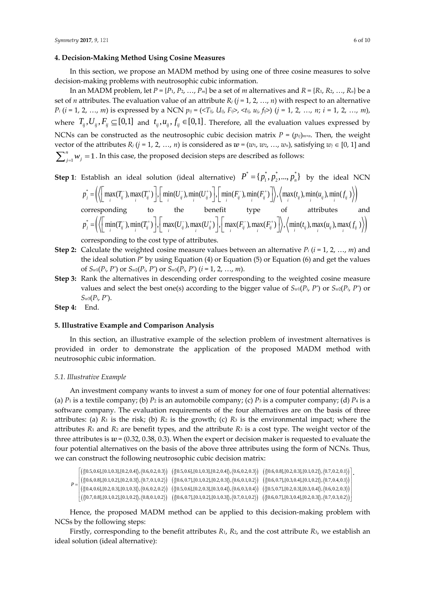#### **4. Decision-Making Method Using Cosine Measures**

In this section, we propose an MADM method by using one of three cosine measures to solve decision-making problems with neutrosophic cubic information.

In an MADM problem, let  $P = \{P_1, P_2, ..., P_m\}$  be a set of *m* alternatives and  $R = \{R_1, R_2, ..., R_n\}$  be a set of *n* attributes. The evaluation value of an attribute  $R_j$  ( $j = 1, 2, ..., n$ ) with respect to an alternative  $P_i$  (*i* = 1, 2, ..., *m*) is expressed by a NCN  $p_{ij} = (\langle T_{ij}, U_{ij}, F_{ij} \rangle, \langle t_{ij}, u_{j}, f_{ij} \rangle)$  (*j* = 1, 2, ..., *n*; *i* = 1, 2, ..., *m*), where  $T_{ij}, U_{ij}, F_{ij} \subseteq [0,1]$  and  $t_{ij}, u_{ij}, f_{ij} \in [0,1]$ . Therefore, all the evaluation values expressed by NCNs can be constructed as the neutrosophic cubic decision matrix  $P = (p_{ij})$ <sub>*m*×*n*</sub>. Then, the weight vector of the attributes  $R_j$  ( $j = 1, 2, ..., n$ ) is considered as  $w = (w_1, w_2, ..., w_n)$ , satisfying  $w_j \in [0, 1]$  and  $\sum_{j=1}^{n} w_j = 1$  $\sum_{j=1}^{n} w_j = 1$  . In this case, the proposed decision steps are described as follows:

**Step 1**: Establish an ideal solution (ideal alternative)  $P^* = \{p_1^*, p_2^*, ..., p_n^*\}$  by the ideal NCN Establish an ideal solution (ideal alternative)  $P^* = \{p_1^*, p_2^*, ..., p_n^*\}$  by the ideal NCN<br>  $p_j^* = \left( \left( \left[ \max(T_{ij}^-, \max(T_{ij}^+) \right], \left[ \min(U_{ij}^-, \min(U_{ij}^+) \right], \left[ \min(U_{ij}^+) \right], \left[ \min(U_{ij}^-, \min(U_{ij}^+) \right], \left[ \min(U_{ij}^+) \right], \left[ \min(U_{ij}^+) \right], \left[ \min(U_{ij}^$  $\left(\left(\min(I_{ij}),\min(I_{ij})\right),\left(\max(U_{ij}),\max(U_{ij})\right),\left(\max(I_{ij}),\max(I_{ij})\right)\right),\left(\min(I_{ij}),\max(U_{ij}),\max(J_{ij})\right)\right)$  $p_j^* = \left( \left\langle \left[ \max(T_{ij}^-), \max_i(T_{ij}^+) \right], \left[ \min_i(U_{ij}^-), \min_i(U_{ij}^+) \right], \left[ \min_i(F_{ij}^-), \min_i(F_{ij}^+) \right] \right\rangle, \left\langle \max_i(t_{ij}), \min_i(u_{ij}), \min_i(f_{ij}^-) \right\rangle \right)$ <br>
corresponding to the benefit type of attributes a<br>  $p_j^* = \left( \left\langle \left[ \min_i(T_{ij}^-), \min_i(T_{ij}^+) \right], \left[ \max_i(U$ 

corresponding to the cost type of attributes.

- **Step 2:** Calculate the weighted cosine measure values between an alternative  $P_i$  ( $i = 1, 2, ..., m$ ) and the ideal solution *P*\* by using Equation (4) or Equation (5) or Equation (6) and get the values of *Sw*1(*Pi*, *P\** ) or *Sw*2(*Pi*, *P\** ) or *Sw*3(*Pi*, *P\** ) (*i* = 1, 2, …, *m*).
- **Step 3:** Rank the alternatives in descending order corresponding to the weighted cosine measure values and select the best one(s) according to the bigger value of  $S_{w1}(P_i, P^*)$  or  $S_{w2}(P_i, P^*)$  or *Sw*3(*Pi*, *P\** ).

**Step 4:** End.

### **5. Illustrative Example and Comparison Analysis**

In this section, an illustrative example of the selection problem of investment alternatives is provided in order to demonstrate the application of the proposed MADM method with neutrosophic cubic information.

## *5.1. Illustrative Example*

An investment company wants to invest a sum of money for one of four potential alternatives: (a)  $P_1$  is a textile company; (b)  $P_2$  is an automobile company; (c)  $P_3$  is a computer company; (d)  $P_4$  is a software company. The evaluation requirements of the four alternatives are on the basis of three attributes: (a)  $R_1$  is the risk; (b)  $R_2$  is the growth; (c)  $R_3$  is the environmental impact; where the attributes *R*<sup>1</sup> and *R*<sup>2</sup> are benefit types, and the attribute *R*<sup>3</sup> is a cost type. The weight vector of the three attributes is  $w = (0.32, 0.38, 0.3)$ . When the expert or decision maker is requested to evaluate the<br>four potential alternatives on the basis of the above three attributes using the form of NCNs. Thus,<br>we can constru three attributes is  $\omega$  = (0.32, 0.38, 0.3). When the expert or decision maker is requested to evaluate the<br>four potential alternatives on the basis of the above three attributes using the form of NCNs. Thus,<br>we can cons

| four potential alternatives on the basis of the above three attributes using the form of NCINS. Thus,<br>we can construct the following neutrosophic cubic decision matrix:                                                                                                                                                                                                                                                                                                                                                                                                                                                                                                                                                                                                                                                                                                                                                            |  |
|----------------------------------------------------------------------------------------------------------------------------------------------------------------------------------------------------------------------------------------------------------------------------------------------------------------------------------------------------------------------------------------------------------------------------------------------------------------------------------------------------------------------------------------------------------------------------------------------------------------------------------------------------------------------------------------------------------------------------------------------------------------------------------------------------------------------------------------------------------------------------------------------------------------------------------------|--|
| $\left[\left(\langle [0.5, 0.6], [0.1, 0.3], [0.2, 0.4]\rangle, \langle 0.6, 0.2, 0.3 \rangle\right) \right. \\ \left. \left. \left(\langle [0.5, 0.6], [0.1, 0.3], [0.2, 0.4]\rangle, \langle 0.6, 0.2, 0.3 \rangle\right) \right. \\ \left. \left. \left(\langle [0.6, 0.8], [0.2, 0.3], [0.1, 0.2]\rangle, \langle 0.7, 0.2, 0.1 \rangle\right) \right] \right]$<br>$P = \begin{bmatrix} (([0.6, 0.8],[0.1, 0.2],[0.2, 0.3]), (0.7, 0.1, 0.2)) & (([0.6, 0.7],[0.1, 0.2],[0.2, 0.3]), (0.6, 0.1, 0.2)) & (([0.6, 0.7],[0.3, 0.4],[0.1, 0.2]), (0.7, 0.4, 0.1)) \\ (([0.4, 0.6],[0.2, 0.3],[0.1, 0.3]), (0.6, 0.2, 0.2)) & (([0.5, 0.6],[0.2, 0.3],[0.3, 0.4]), (0.$<br>$\left(\langle[0.7,0.8],[0.1,0.2],[0.1,0.2]\rangle,\langle0.8,0.1,0.2\rangle\right)\ \left(\langle[0.6,0.7],[0.1,0.2],[0.1,0.3]\rangle,\langle0.7,0.1,0.2\rangle\right)\ \left(\langle[0.6,0.7],[0.3,0.4],[0.2,0.3]\rangle,\langle0.7,0.3,0.2\rangle\right)$ |  |
|                                                                                                                                                                                                                                                                                                                                                                                                                                                                                                                                                                                                                                                                                                                                                                                                                                                                                                                                        |  |

Hence, the proposed MADM method can be applied to this decision-making problem with NCSs by the following steps:

Firstly, corresponding to the benefit attributes *R*1, *R*2, and the cost attribute *R*3, we establish an ideal solution (ideal alternative):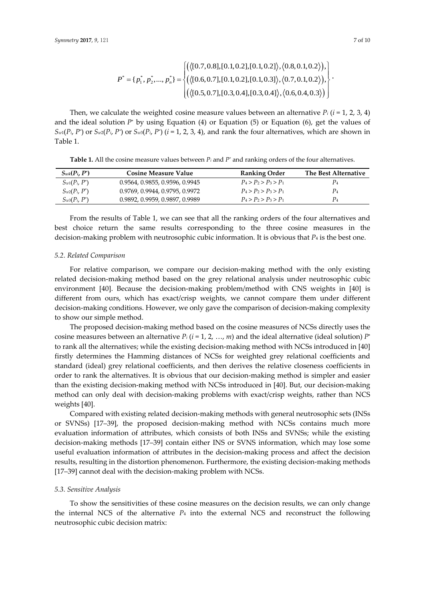$$
P^* = \{p_1^*, p_2^*, \ldots, p_n^*\} = \begin{cases} \left( \langle [0.7, 0.8], [0.1, 0.2], [0.1, 0.2], \langle 0.8, 0.1, 0.2 \rangle \right), \langle 0.8, 0.1, 0.2 \rangle, \\ \left( \langle [0.6, 0.7], [0.1, 0.2], [0.1, 0.3], \langle 0.7, 0.1, 0.2 \rangle \right), \langle 0.6, 0.4, 0.3 \rangle \right) \\ \left( \langle [0.5, 0.7], [0.3, 0.4], [0.3, 0.4], \langle 0.6, 0.4, 0.3 \rangle \right) \end{cases}.
$$

Then, we calculate the weighted cosine measure values between an alternative  $P_i$  ( $i = 1, 2, 3, 4$ ) and the ideal solution  $P^*$  by using Equation (4) or Equation (5) or Equation (6), get the values of  $S_{w1}(P_i, P^*)$  or  $S_{w2}(P_i, P^*)$  or  $S_{w3}(P_i, P^*)$  ( $i = 1, 2, 3, 4$ ), and rank the four alternatives, which are shown in Table 1.

**Table 1.** All the cosine measure values between *P<sup>i</sup>* and *P\** and ranking orders of the four alternatives.

| $S_{wk}(P_i, P^*)$ | <b>Cosine Measure Value</b>    | <b>Ranking Order</b>    | The Best Alternative |
|--------------------|--------------------------------|-------------------------|----------------------|
| $S_{w1}(P_i, P^*)$ | 0.9564, 0.9855, 0.9596, 0.9945 | $P_4 > P_2 > P_3 > P_1$ | P4                   |
| $S_{w2}(P_i, P^*)$ | 0.9769, 0.9944, 0.9795, 0.9972 | $P_4 > P_2 > P_3 > P_1$ | $P_4$                |
| $S_{w3}(P_i, P^*)$ | 0.9892, 0.9959, 0.9897, 0.9989 | $P_4 > P_2 > P_3 > P_1$ | $P_4$                |

From the results of Table 1, we can see that all the ranking orders of the four alternatives and best choice return the same results corresponding to the three cosine measures in the decision-making problem with neutrosophic cubic information. It is obvious that *P*<sup>4</sup> is the best one.

#### *5.2. Related Comparison*

For relative comparison, we compare our decision-making method with the only existing related decision-making method based on the grey relational analysis under neutrosophic cubic environment [40]. Because the decision-making problem/method with CNS weights in [40] is different from ours, which has exact/crisp weights, we cannot compare them under different decision-making conditions. However, we only gave the comparison of decision-making complexity to show our simple method.

The proposed decision-making method based on the cosine measures of NCSs directly uses the cosine measures between an alternative  $P_i$  ( $i = 1, 2, ..., m$ ) and the ideal alternative (ideal solution)  $P^*$ to rank all the alternatives; while the existing decision-making method with NCSs introduced in [40] firstly determines the Hamming distances of NCSs for weighted grey relational coefficients and standard (ideal) grey relational coefficients, and then derives the relative closeness coefficients in order to rank the alternatives. It is obvious that our decision-making method is simpler and easier than the existing decision-making method with NCSs introduced in [40]. But, our decision-making method can only deal with decision-making problems with exact/crisp weights, rather than NCS weights [40].

Compared with existing related decision-making methods with general neutrosophic sets (INSs or SVNSs) [17–39], the proposed decision-making method with NCSs contains much more evaluation information of attributes, which consists of both INSs and SVNSs; while the existing decision-making methods [17–39] contain either INS or SVNS information, which may lose some useful evaluation information of attributes in the decision-making process and affect the decision results, resulting in the distortion phenomenon. Furthermore, the existing decision-making methods [17–39] cannot deal with the decision-making problem with NCSs.

#### *5.3. Sensitive Analysis*

To show the sensitivities of these cosine measures on the decision results, we can only change the internal NCS of the alternative  $P_4$  into the external NCS and reconstruct the following neutrosophic cubic decision matrix: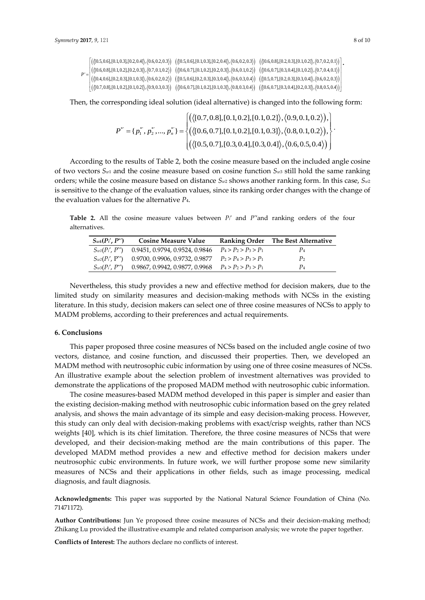```
(\{[0.5, 0.6], [0.1, 0.3], [0.2, 0.4]\}, \{0.6, 0.2, 0.3\}) (\{[0.5, 0.6], [0.1, 0.3], [0.2, 0.4]\}, \{0.6, 0.2, 0.3\}) (\{[0.6, 0.8], [0.2, 0.3], [0.1, 0.2]\}, \{0.7, 0.2, 0.1\})(\{[0.6,0.8],[0.1,0.2],[0.2,0.3]\},\{0.7,0.1,0.2\})\quad (\{[0.6,0.7],[0.1,0.2],[0.2,0.3]\},\{0.6,0.1,0.2\})\quad (\{[0.6,0.7],[0.3,0.4],[0.1,0.2]\},\{0.7,0.4,0.1\})\}(0.5,0.6],[0.1,0.3],[0.2,0.4]), (0.6,0.2,0.3) ( (0.5,0.6],[0.1,0.3],[0.2,0.4]), (0.6,0.2,0.3) ( (0.6,0.8],[0.2,0.3],[0.1,0.2]), (0.7,0.2,0.1)<br>[0.6,0.8],[0.1,0.2],[0.2,0.4]), (0.6,0.2,0.3) ( (0.6,0.7],[0.1,0.2
             (0.5,0.6], [0.1,0.3], [0.2,0.4] \rangle, (0.6,0.2,0.3) ( \langle [0.5,0.6], [0.1,0.3], [0.2,0.4] \rangle, \langle 0.6,0.2,0.3 \rangle) ( \langle [0.6,0.8], [0.2,0.3], [0.1,0.2] \rangle, \langle 0.7,0.2,0.1 \rangle)<br>[0.6,0.8], [0.1,0.2], [0.2,0.3] \rangle, \langle 0.7,0.1,0.2 \rangle) ( \langle [0.6,0.7], [0.1,0P' 
          (\langle [0.4, 0.6], [0.2, 0.3], [0.1, 0.3]\rangle, \langle 0.6, 0.2, 0.2 \rangle) \cdot (\langle [0.5, 0.6], [0.2, 0.3], [0.3, 0.4]\rangle, \langle 0.6, 0.3, 0.4 \rangle) \cdot (\langle [0.5, 0.7], [0.2, 0.3], [0.3, 0.4]\rangle, \langle 0.6, 0.2, 0.3 \rangle)[0.5,0.6], [0.1,0.3], [0.2,0.4] \rangle, \langle 0.6,0.2,0.3 \rangle) \quad (\langle [0.5,0.6], [0.1,0.3], [0.2,0.4] \rangle, \langle 0.6,0.2,0.3 \rangle) \quad (\langle [0.6,0.8], [0.2,0.3], [0.1,0.2] \rangle, \langle 0.7,0.2,0.1 \rangle) \cdot \langle [0.6,0.8], [0.1,0.2], [0.2,0.3], [0.2,0.3], [0.2,0.3], [0.2,0.3], [0.3,0.4], [0.4\begin{bmatrix} \langle \langle [0.5,0.6], [0.1,0.3], [0.2,0.4] \rangle, \langle 0.6,0.2,0.3 \rangle ) & \langle \langle [0.5,0.6], [0.1,0.3], [0.2,0.4] \rangle, \langle 0.6,0.2,0.3 \rangle ) & \langle \langle [0.6,0.8], [0.1,0.2] \rangle, \langle 0.7,0.2,0.1 \rangle ) \rangle \ \langle \langle [0.6,0.8], [0.1,0.2], [0.2,0.3] \rangle, \langle 0.7,0.1,0.2 \rangle ) & \langle \langle [0.6,0.7],7, 9, 121<br>
({[0.5, 0.6], [0.1, 0.3], [0.2, 0.4], \langle 0.6, 0.2, 0.3 \rangle) ({[0.5, 0.6], [0.1, 0.3], [0.2, 0.4], \langle 0.6, 0.2, 0.3 \rangle) ({[0.6, 0.8], [0.2, 0.3], [0.1, 0.2], \langle 0.7, 0.2, 0.1 \rangle}<br>(({[0.6, 0.8], [0.1, 0.2], [0.2, 0.3], \langle 0.7, 0.1, 0.
```
Then, the corresponding ideal solution (ideal alternative) is changed into the following form:

$$
P^* = \{p_1^*, p_2^*, ..., p_n^*\} = \begin{cases} (\langle [0.5, 0.7], [0.1, 0.2], [0.1, 0.3], \langle 0.8, 0.1, 0.2 \rangle), \\ (\langle [0.5, 0.7], [0.1, 0.2], [0.1, 0.3], \langle 0.8, 0.1, 0.2 \rangle), \\ (\langle [0.5, 0.7], [0.3, 0.4], [0.3, 0.4], \langle 0.6, 0.5, 0.4 \rangle) \end{cases}
$$

According to the results of Table 2, both the cosine measure based on the included angle cosine of two vectors *Sw*<sup>1</sup> and the cosine measure based on cosine function *Sw*<sup>3</sup> still hold the same ranking orders; while the cosine measure based on distance *Sw*<sup>2</sup> shows another ranking form. In this case, *Sw*<sup>2</sup> is sensitive to the change of the evaluation values, since its ranking order changes with the change of the evaluation values for the alternative *P*4.

**Table 2.** All the cosine measure values between *Pi*′ and *P\** ′and ranking orders of the four alternatives.

| $S_{wk}(P_i', P^*)$ | <b>Cosine Measure Value</b>                            |                         | Ranking Order The Best Alternative |
|---------------------|--------------------------------------------------------|-------------------------|------------------------------------|
| $S_{w1}(P'_i, P'')$ | 0.9451, 0.9794, 0.9524, 0.9846                         | $P_4 > P_2 > P_3 > P_1$ | P <sub>4</sub>                     |
| $S_{w2}(P_i', P^*)$ | 0.9700, 0.9906, 0.9732, 0.9877                         | $P_2 > P_4 > P_3 > P_1$ | P <sub>2</sub>                     |
| $S_{w3}(P_i', P^*)$ | 0.9867, 0.9942, 0.9877, 0.9968 $P_4 > P_2 > P_3 > P_1$ |                         | P <sub>4</sub>                     |

Nevertheless, this study provides a new and effective method for decision makers, due to the limited study on similarity measures and decision-making methods with NCSs in the existing literature. In this study, decision makers can select one of three cosine measures of NCSs to apply to MADM problems, according to their preferences and actual requirements.

## **6. Conclusions**

This paper proposed three cosine measures of NCSs based on the included angle cosine of two vectors, distance, and cosine function, and discussed their properties. Then, we developed an MADM method with neutrosophic cubic information by using one of three cosine measures of NCSs. An illustrative example about the selection problem of investment alternatives was provided to demonstrate the applications of the proposed MADM method with neutrosophic cubic information.

The cosine measures-based MADM method developed in this paper is simpler and easier than the existing decision-making method with neutrosophic cubic information based on the grey related analysis, and shows the main advantage of its simple and easy decision-making process. However, this study can only deal with decision-making problems with exact/crisp weights, rather than NCS weights [40], which is its chief limitation. Therefore, the three cosine measures of NCSs that were developed, and their decision-making method are the main contributions of this paper. The developed MADM method provides a new and effective method for decision makers under neutrosophic cubic environments. In future work, we will further propose some new similarity measures of NCSs and their applications in other fields, such as image processing, medical diagnosis, and fault diagnosis.

**Acknowledgments:** This paper was supported by the National Natural Science Foundation of China (No. 71471172).

**Author Contributions:** Jun Ye proposed three cosine measures of NCSs and their decision-making method; Zhikang Lu provided the illustrative example and related comparison analysis; we wrote the paper together.

**Conflicts of Interest:** The authors declare no conflicts of interest.

.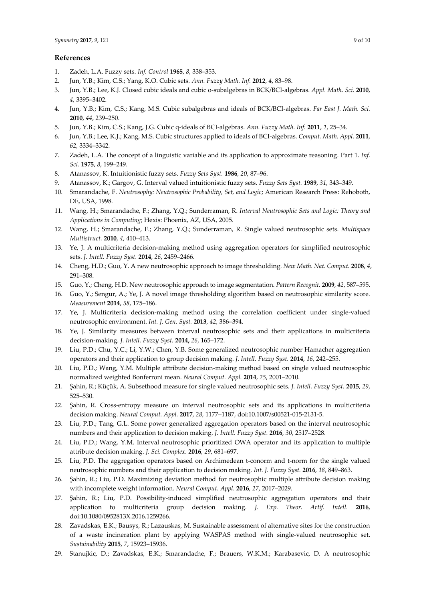### **References**

- 1. Zadeh, L.A. Fuzzy sets. *Inf. Control* **1965**, *8*, 338–353.
- 2. Jun, Y.B.; Kim, C.S.; Yang, K.O. Cubic sets. *Ann. Fuzzy Math. Inf.* **2012**, *4*, 83–98.
- 3. Jun, Y.B.; Lee, K.J. Closed cubic ideals and cubic o-subalgebras in BCK/BCI-algebras. *Appl. Math. Sci.* **2010**, *4*, 3395–3402.
- 4. Jun, Y.B.; Kim, C.S.; Kang, M.S. Cubic subalgebras and ideals of BCK/BCI-algebras. *Far East J. Math. Sci.* **2010**, *44*, 239–250.
- 5. Jun, Y.B.; Kim, C.S.; Kang, J.G. Cubic q-ideals of BCI-algebras. *Ann. Fuzzy Math. Inf.* **2011**, *1*, 25–34.
- 6. Jun, Y.B.; Lee, K.J.; Kang, M.S. Cubic structures applied to ideals of BCI-algebras. *Comput. Math. Appl.* **2011**, *62*, 3334–3342.
- 7. Zadeh, L.A. The concept of a linguistic variable and its application to approximate reasoning. Part 1. *Inf. Sci.* **1975**, *8*, 199–249.
- 8. Atanassov, K. Intuitionistic fuzzy sets. *Fuzzy Sets Syst.* **1986**, *20*, 87–96.
- 9. Atanassov, K.; Gargov, G. Interval valued intuitionistic fuzzy sets. *Fuzzy Sets Syst.* **1989**, *31*, 343–349.
- 10. Smarandache, F. *Neutrosophy: Neutrosophic Probability, Set, and Logic*; American Research Press: Rehoboth, DE, USA, 1998.
- 11. Wang, H.; Smarandache, F.; Zhang, Y.Q.; Sunderraman, R. *Interval Neutrosophic Sets and Logic: Theory and Applications in Computing*; Hexis: Phoenix, AZ, USA, 2005.
- 12. Wang, H.; Smarandache, F.; Zhang, Y.Q.; Sunderraman, R. Single valued neutrosophic sets. *Multispace Multistruct.* **2010**, *4*, 410–413.
- 13. Ye, J. A multicriteria decision-making method using aggregation operators for simplified neutrosophic sets. *J. Intell. Fuzzy Syst.* **2014**, *26*, 2459–2466.
- 14. Cheng, H.D.; Guo, Y. A new neutrosophic approach to image thresholding*. New Math. Nat. Comput.* **2008**, *4*, 291–308.
- 15. Guo, Y.; Cheng, H.D. New neutrosophic approach to image segmentation. *Pattern Recognit.* **2009**, *42*, 587–595.
- 16. Guo, Y.; Sengur, A.; Ye, J. A novel image thresholding algorithm based on neutrosophic similarity score. *Measurement* **2014**, *58*, 175–186.
- 17. Ye, J. Multicriteria decision-making method using the correlation coefficient under single-valued neutrosophic environment. *Int. J. Gen. Syst.* **2013**, *42*, 386–394.
- 18. Ye, J. Similarity measures between interval neutrosophic sets and their applications in multicriteria decision-making. *J. Intell. Fuzzy Syst.* **2014,** *26*, 165–172.
- 19. Liu, P.D.; Chu, Y.C.; Li, Y.W.; Chen, Y.B. Some generalized neutrosophic number Hamacher aggregation operators and their application to group decision making. *J. Intell. Fuzzy Syst.* **2014**, *16*, 242–255.
- 20. Liu, P.D.; Wang, Y.M. Multiple attribute decision-making method based on single valued neutrosophic normalized weighted Bonferroni mean. *Neural Comput. Appl.* **2014**, *25*, 2001–2010.
- 21. Şahin, R.; Küçük, A. Subsethood measure for single valued neutrosophic sets. *J. Intell. Fuzzy Syst.* **2015**, *29*, 525–530.
- 22. Şahin, R. Cross-entropy measure on interval neutrosophic sets and its applications in multicriteria decision making. *Neural Comput. Appl.* **2017**, *28*, 1177–1187, doi:10.1007/s00521-015-2131-5.
- 23. Liu, P.D.; Tang, G.L. Some power generalized aggregation operators based on the interval neutrosophic numbers and their application to decision making. *J. Intell. Fuzzy Syst.* **2016**, *30*, 2517–2528.
- 24. Liu, P.D.; Wang, Y.M. Interval neutrosophic prioritized OWA operator and its application to multiple attribute decision making. *J. Sci. Complex.* **2016**, *29*, 681–697.
- 25. Liu, P.D. The aggregation operators based on Archimedean t-conorm and t-norm for the single valued neutrosophic numbers and their application to decision making. *Int. J. Fuzzy Syst.* **2016**, *18*, 849–863.
- 26. Şahin, R.; Liu, P.D. Maximizing deviation method for neutrosophic multiple attribute decision making with incomplete weight information. *Neural Comput. Appl.* **2016**, *27*, 2017–2029.
- 27. Şahin, R.; Liu, P.D. Possibility-induced simplified neutrosophic aggregation operators and their application to multicriteria group decision making. *J. Exp. Theor. Artif. Intell.* **2016**, doi:10.1080/0952813X.2016.1259266.
- 28. Zavadskas, E.K.; Bausys, R.; Lazauskas, M. Sustainable assessment of alternative sites for the construction of a waste incineration plant by applying WASPAS method with single-valued neutrosophic set. *Sustainability* **2015**, *7*, 15923–15936.
- 29. Stanujkic, D.; Zavadskas, E.K.; Smarandache, F.; Brauers, W.K.M.; Karabasevic, D. A neutrosophic